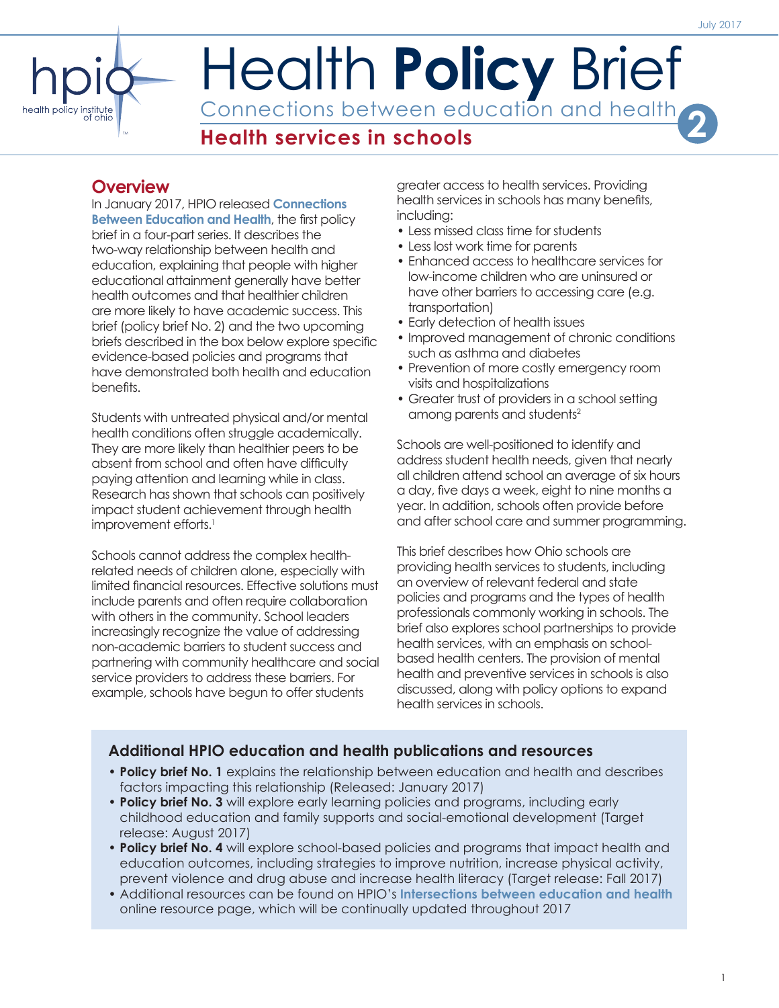# Health **Policy** Brief Connections between education and health **Health services in schools 2**

## **Overview**

TM

In January 2017, HPIO released **[Connections](http://www.healthpolicyohio.org/connections-between-education-and-health/)  [Between Education and Health](http://www.healthpolicyohio.org/connections-between-education-and-health/)**, the first policy brief in a four-part series. It describes the two-way relationship between health and education, explaining that people with higher educational attainment generally have better health outcomes and that healthier children are more likely to have academic success. This brief (policy brief No. 2) and the two upcoming briefs described in the box below explore specific evidence-based policies and programs that have demonstrated both health and education benefits.

Students with untreated physical and/or mental health conditions often struggle academically. They are more likely than healthier peers to be absent from school and often have difficulty paying attention and learning while in class. Research has shown that schools can positively impact student achievement through health improvement efforts.<sup>1</sup>

Schools cannot address the complex healthrelated needs of children alone, especially with limited financial resources. Effective solutions must include parents and often require collaboration with others in the community. School leaders increasingly recognize the value of addressing non-academic barriers to student success and partnering with community healthcare and social service providers to address these barriers. For example, schools have begun to offer students

greater access to health services. Providing health services in schools has many benefits, including:

- Less missed class time for students
- Less lost work time for parents
- Enhanced access to healthcare services for low-income children who are uninsured or have other barriers to accessing care (e.g. transportation)
- Early detection of health issues
- Improved management of chronic conditions such as asthma and diabetes
- Prevention of more costly emergency room visits and hospitalizations
- Greater trust of providers in a school setting among parents and students<sup>2</sup>

Schools are well-positioned to identify and address student health needs, given that nearly all children attend school an average of six hours a day, five days a week, eight to nine months a year. In addition, schools often provide before and after school care and summer programming.

This brief describes how Ohio schools are providing health services to students, including an overview of relevant federal and state policies and programs and the types of health professionals commonly working in schools. The brief also explores school partnerships to provide health services, with an emphasis on schoolbased health centers. The provision of mental health and preventive services in schools is also discussed, along with policy options to expand health services in schools.

## **Additional HPIO education and health publications and resources**

- **• Policy brief No. 1** explains the relationship between education and health and describes factors impacting this relationship (Released: January 2017)
- **• Policy brief No. 3** will explore early learning policies and programs, including early childhood education and family supports and social-emotional development (Target release: August 2017)
- **• Policy brief No. 4** will explore school-based policies and programs that impact health and education outcomes, including strategies to improve nutrition, increase physical activity, prevent violence and drug abuse and increase health literacy (Target release: Fall 2017)
- Additional resources can be found on HPIO's **[Intersections between education and health](http://www.healthpolicyohio.org/intersections-between-education-and-health/)** online resource page, which will be continually updated throughout 2017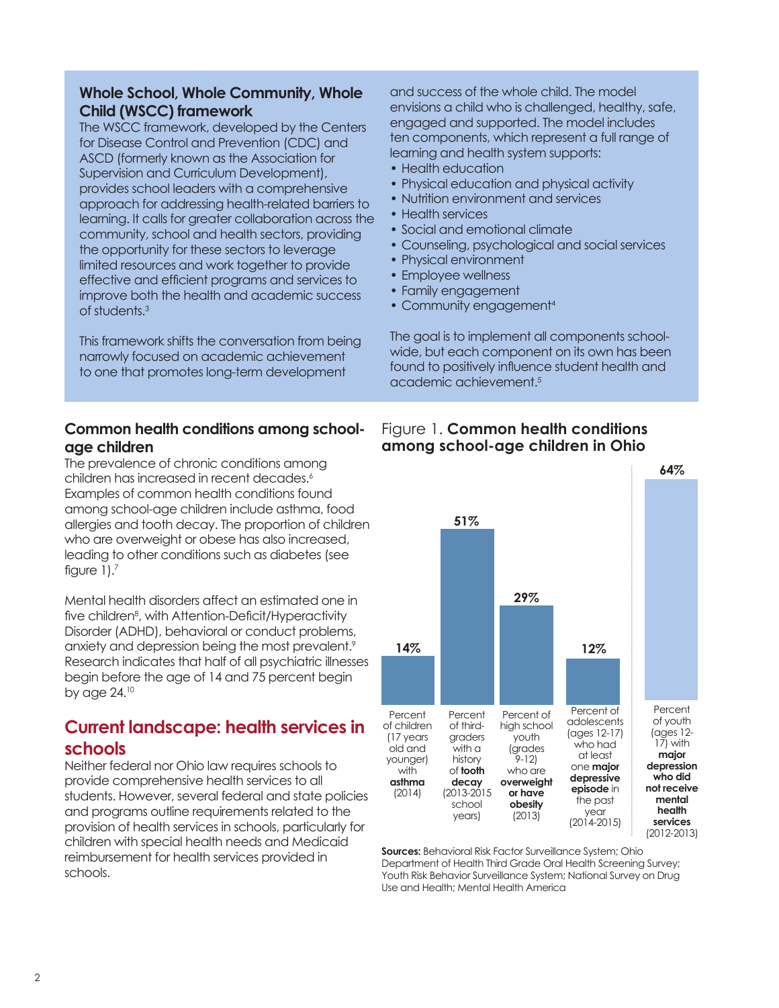## **Whole School, Whole Community, Whole Child (WSCC) framework**

The WSCC framework, developed by the Centers for Disease Control and Prevention (CDC) and ASCD (formerly known as the Association for Supervision and Curriculum Development), provides school leaders with a comprehensive approach for addressing health-related barriers to learning. It calls for greater collaboration across the community, school and health sectors, providing the opportunity for these sectors to leverage limited resources and work together to provide effective and efficient programs and services to improve both the health and academic success of students.<sup>3</sup>

This framework shifts the conversation from being narrowly focused on academic achievement to one that promotes long-term development

## **Common health conditions among schoolage children**

The prevalence of chronic conditions among children has increased in recent decades.<sup>6</sup> Examples of common health conditions found among school-age children include asthma, food allergies and tooth decay. The proportion of children who are overweight or obese has also increased, leading to other conditions such as diabetes (see figure  $1$ ). $<sup>7</sup>$ </sup>

Mental health disorders affect an estimated one in five children<sup>8</sup>, with Attention-Deficit/Hyperactivity Disorder (ADHD), behavioral or conduct problems, anxiety and depression being the most prevalent.<sup>9</sup> Research indicates that half of all psychiatric illnesses begin before the age of 14 and 75 percent begin by age 24.<sup>10</sup>

## **Current landscape: health services in schools**

Neither federal nor Ohio law requires schools to provide comprehensive health services to all students. However, several federal and state policies and programs outline requirements related to the provision of health services in schools, particularly for children with special health needs and Medicaid reimbursement for health services provided in schools.

and success of the whole child. The model envisions a child who is challenged, healthy, safe, engaged and supported. The model includes ten components, which represent a full range of learning and health system supports:

- Health education
- Physical education and physical activity
- Nutrition environment and services
- Health services
- Social and emotional climate
- Counseling, psychological and social services
- Physical environment
- Employee wellness
- Family engagement
- Community engagement<sup>4</sup>

The goal is to implement all components schoolwide, but each component on its own has been found to positively influence student health and academic achievement.5



## Figure 1. **Common health conditions among school-age children in Ohio**

**Sources:** Behavioral Risk Factor Surveillance System; Ohio Department of Health Third Grade Oral Health Screening Survey; Youth Risk Behavior Surveillance System; National Survey on Drug Use and Health; Mental Health America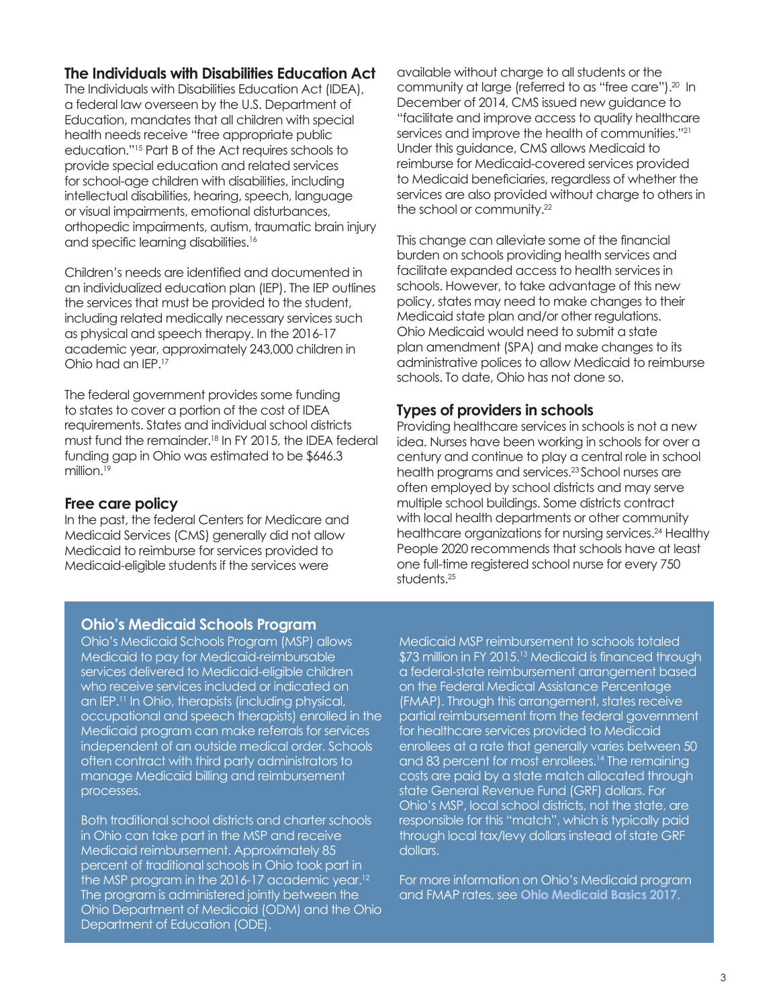## **The Individuals with Disabilities Education Act**

The Individuals with Disabilities Education Act (IDEA), a federal law overseen by the U.S. Department of Education, mandates that all children with special health needs receive "free appropriate public education."15 Part B of the Act requires schools to provide special education and related services for school-age children with disabilities, including intellectual disabilities, hearing, speech, language or visual impairments, emotional disturbances, orthopedic impairments, autism, traumatic brain injury and specific learning disabilities.<sup>16</sup>

Children's needs are identified and documented in an individualized education plan (IEP). The IEP outlines the services that must be provided to the student, including related medically necessary services such as physical and speech therapy. In the 2016-17 academic year, approximately 243,000 children in Ohio had an IEP.<sup>17</sup>

The federal government provides some funding to states to cover a portion of the cost of IDEA requirements. States and individual school districts must fund the remainder.<sup>18</sup> In FY 2015, the IDEA federal funding gap in Ohio was estimated to be \$646.3 million.<sup>19</sup>

## **Free care policy**

In the past, the federal Centers for Medicare and Medicaid Services (CMS) generally did not allow Medicaid to reimburse for services provided to Medicaid-eligible students if the services were

available without charge to all students or the community at large (referred to as "free care").20 In December of 2014, CMS issued new guidance to "facilitate and improve access to quality healthcare services and improve the health of communities."<sup>21</sup> Under this guidance, CMS allows Medicaid to reimburse for Medicaid-covered services provided to Medicaid beneficiaries, regardless of whether the services are also provided without charge to others in the school or community.<sup>22</sup>

This change can alleviate some of the financial burden on schools providing health services and facilitate expanded access to health services in schools. However, to take advantage of this new policy, states may need to make changes to their Medicaid state plan and/or other regulations. Ohio Medicaid would need to submit a state plan amendment (SPA) and make changes to its administrative polices to allow Medicaid to reimburse schools. To date, Ohio has not done so.

## **Types of providers in schools**

Providing healthcare services in schools is not a new idea. Nurses have been working in schools for over a century and continue to play a central role in school health programs and services.<sup>23</sup> School nurses are often employed by school districts and may serve multiple school buildings. Some districts contract with local health departments or other community healthcare organizations for nursing services.<sup>24</sup> Healthy People 2020 recommends that schools have at least one full-time registered school nurse for every 750 students.<sup>25</sup>

## **Ohio's Medicaid Schools Program**

Ohio's Medicaid Schools Program (MSP) allows Medicaid to pay for Medicaid-reimbursable services delivered to Medicaid-eligible children who receive services included or indicated on an IEP.<sup>11</sup> In Ohio, therapists (including physical, occupational and speech therapists) enrolled in the Medicaid program can make referrals for services independent of an outside medical order. Schools often contract with third party administrators to manage Medicaid billing and reimbursement processes.

Both traditional school districts and charter schools in Ohio can take part in the MSP and receive Medicaid reimbursement. Approximately 85 percent of traditional schools in Ohio took part in the MSP program in the 2016-17 academic year.<sup>12</sup> The program is administered jointly between the Ohio Department of Medicaid (ODM) and the Ohio Department of Education (ODE).

Medicaid MSP reimbursement to schools totaled \$73 million in FY 2015.<sup>13</sup> Medicaid is financed through a federal-state reimbursement arrangement based on the Federal Medical Assistance Percentage (FMAP). Through this arrangement, states receive partial reimbursement from the federal government for healthcare services provided to Medicaid enrollees at a rate that generally varies between 50 and 83 percent for most enrollees.<sup>14</sup> The remaining costs are paid by a state match allocated through state General Revenue Fund (GRF) dollars. For Ohio's MSP, local school districts, not the state, are responsible for this "match", which is typically paid through local tax/levy dollars instead of state GRF dollars.

For more information on Ohio's Medicaid program and FMAP rates, see **[Ohio Medicaid Basics 2017](http://www.healthpolicyohio.org/ohio-medicaid-basics-2017/)**.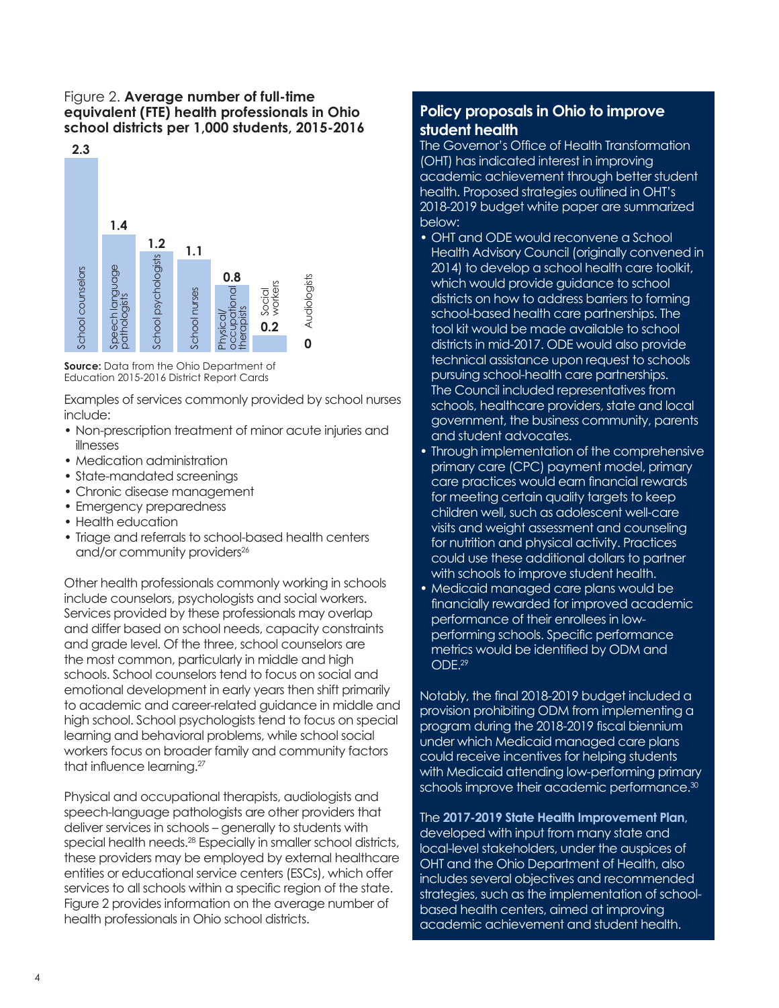## Figure 2. **Average number of full-time equivalent (FTE) health professionals in Ohio school districts per 1,000 students, 2015-2016**



**Source:** Data from the Ohio Department of Education 2015-2016 District Report Cards

Examples of services commonly provided by school nurses include:

- Non-prescription treatment of minor acute injuries and illnesses
- Medication administration
- State-mandated screenings
- Chronic disease management
- Emergency preparedness
- Health education
- Triage and referrals to school-based health centers and/or community providers<sup>26</sup>

Other health professionals commonly working in schools include counselors, psychologists and social workers. Services provided by these professionals may overlap and differ based on school needs, capacity constraints and grade level. Of the three, school counselors are the most common, particularly in middle and high schools. School counselors tend to focus on social and emotional development in early years then shift primarily to academic and career-related guidance in middle and high school. School psychologists tend to focus on special learning and behavioral problems, while school social workers focus on broader family and community factors that influence learning.<sup>27</sup>

Physical and occupational therapists, audiologists and speech-language pathologists are other providers that deliver services in schools – generally to students with special health needs.<sup>28</sup> Especially in smaller school districts, these providers may be employed by external healthcare entities or educational service centers (ESCs), which offer services to all schools within a specific region of the state. Figure 2 provides information on the average number of health professionals in Ohio school districts.

## **Policy proposals in Ohio to improve student health**

The Governor's Office of Health Transformation (OHT) has indicated interest in improving academic achievement through better student health. Proposed strategies outlined in OHT's 2018-2019 budget white paper are summarized below:

- OHT and ODE would reconvene a School Health Advisory Council (originally convened in 2014) to develop a school health care toolkit, which would provide guidance to school districts on how to address barriers to forming school-based health care partnerships. The tool kit would be made available to school districts in mid-2017. ODE would also provide technical assistance upon request to schools pursuing school-health care partnerships. The Council included representatives from schools, healthcare providers, state and local government, the business community, parents and student advocates.
- Through implementation of the comprehensive primary care (CPC) payment model, primary care practices would earn financial rewards for meeting certain quality targets to keep children well, such as adolescent well-care visits and weight assessment and counseling for nutrition and physical activity. Practices could use these additional dollars to partner with schools to improve student health.
- Medicaid managed care plans would be financially rewarded for improved academic performance of their enrollees in lowperforming schools. Specific performance metrics would be identified by ODM and ODE.<sup>29</sup>

Notably, the final 2018-2019 budget included a provision prohibiting ODM from implementing a program during the 2018-2019 fiscal biennium under which Medicaid managed care plans could receive incentives for helping students with Medicaid attending low-performing primary schools improve their academic performance.<sup>30</sup>

The **[2017-2019 State Health Improvement Plan](http://www.healthpolicyohio.org/wp-content/uploads/2017/05/SHIP_05042017.pdf)**, developed with input from many state and local-level stakeholders, under the auspices of OHT and the Ohio Department of Health, also includes several objectives and recommended strategies, such as the implementation of schoolbased health centers, aimed at improving academic achievement and student health.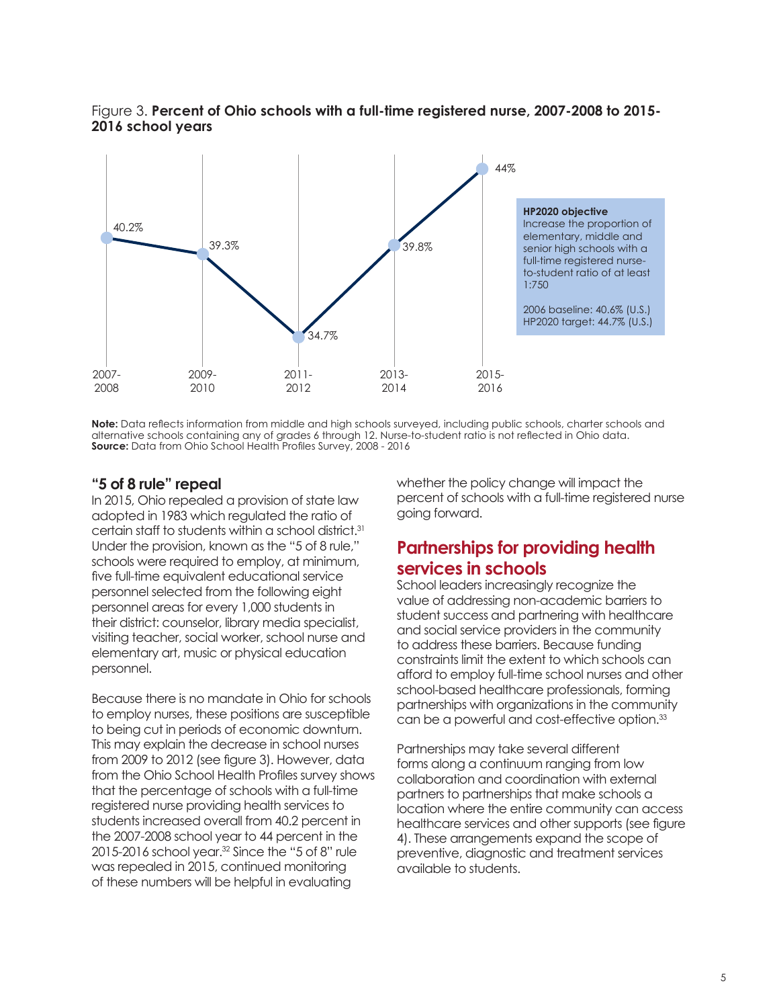



**Note:** Data reflects information from middle and high schools surveyed, including public schools, charter schools and alternative schools containing any of grades 6 through 12. Nurse-to-student ratio is not reflected in Ohio data. **Source:** Data from Ohio School Health Profiles Survey, 2008 - 2016

## **"5 of 8 rule" repeal**

In 2015, Ohio repealed a provision of state law adopted in 1983 which regulated the ratio of certain staff to students within a school district.<sup>31</sup> Under the provision, known as the "5 of 8 rule," schools were required to employ, at minimum, five full-time equivalent educational service personnel selected from the following eight personnel areas for every 1,000 students in their district: counselor, library media specialist, visiting teacher, social worker, school nurse and elementary art, music or physical education personnel.

Because there is no mandate in Ohio for schools to employ nurses, these positions are susceptible to being cut in periods of economic downturn. This may explain the decrease in school nurses from 2009 to 2012 (see figure 3). However, data from the Ohio School Health Profiles survey shows that the percentage of schools with a full-time registered nurse providing health services to students increased overall from 40.2 percent in the 2007-2008 school year to 44 percent in the 2015-2016 school year.<sup>32</sup> Since the "5 of 8" rule was repealed in 2015, continued monitoring of these numbers will be helpful in evaluating

whether the policy change will impact the percent of schools with a full-time registered nurse going forward.

## **Partnerships for providing health services in schools**

School leaders increasingly recognize the value of addressing non-academic barriers to student success and partnering with healthcare and social service providers in the community to address these barriers. Because funding constraints limit the extent to which schools can afford to employ full-time school nurses and other school-based healthcare professionals, forming partnerships with organizations in the community can be a powerful and cost-effective option.<sup>33</sup>

Partnerships may take several different forms along a continuum ranging from low collaboration and coordination with external partners to partnerships that make schools a location where the entire community can access healthcare services and other supports (see figure 4). These arrangements expand the scope of preventive, diagnostic and treatment services available to students.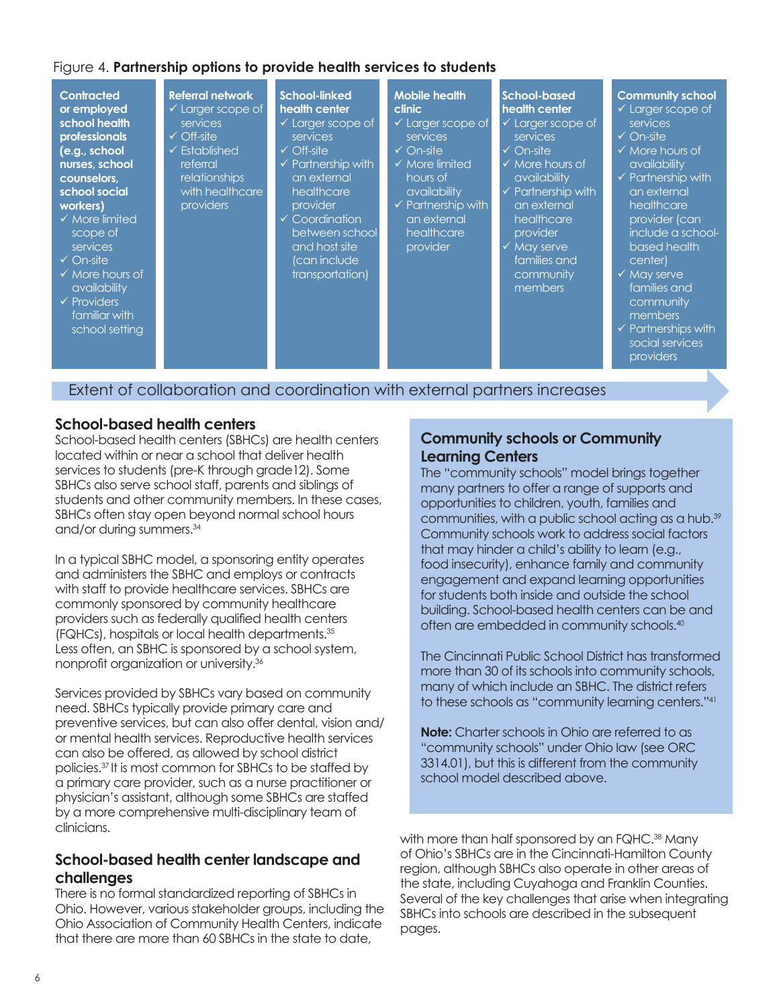## Figure 4. **Partnership options to provide health services to students**



## **School-based health centers**

School-based health centers (SBHCs) are health centers located within or near a school that deliver health services to students (pre-K through grade12). Some SBHCs also serve school staff, parents and siblings of students and other community members. In these cases, SBHCs often stay open beyond normal school hours and/or during summers.34

In a typical SBHC model, a sponsoring entity operates and administers the SBHC and employs or contracts with staff to provide healthcare services. SBHCs are commonly sponsored by community healthcare providers such as federally qualified health centers (FQHCs), hospitals or local health departments.35 Less often, an SBHC is sponsored by a school system, nonprofit organization or university.<sup>36</sup>

Services provided by SBHCs vary based on community need. SBHCs typically provide primary care and preventive services, but can also offer dental, vision and/ or mental health services. Reproductive health services can also be offered, as allowed by school district policies.37 It is most common for SBHCs to be staffed by a primary care provider, such as a nurse practitioner or physician's assistant, although some SBHCs are staffed by a more comprehensive multi-disciplinary team of clinicians.

## **School-based health center landscape and challenges**

There is no formal standardized reporting of SBHCs in Ohio. However, various stakeholder groups, including the Ohio Association of Community Health Centers, indicate that there are more than 60 SBHCs in the state to date,

## **Community schools or Community Learning Centers**

The "community schools" model brings together many partners to offer a range of supports and opportunities to children, youth, families and communities, with a public school acting as a hub.<sup>39</sup> Community schools work to address social factors that may hinder a child's ability to learn (e.g., food insecurity), enhance family and community engagement and expand learning opportunities for students both inside and outside the school building. School-based health centers can be and often are embedded in community schools.40

The Cincinnati Public School District has transformed more than 30 of its schools into community schools, many of which include an SBHC. The district refers to these schools as "community learning centers."41

**Note:** Charter schools in Ohio are referred to as "community schools" under Ohio law (see ORC 3314.01), but this is different from the community school model described above.

with more than half sponsored by an FQHC.<sup>38</sup> Many of Ohio's SBHCs are in the Cincinnati-Hamilton County region, although SBHCs also operate in other areas of the state, including Cuyahoga and Franklin Counties. Several of the key challenges that arise when integrating SBHCs into schools are described in the subsequent pages.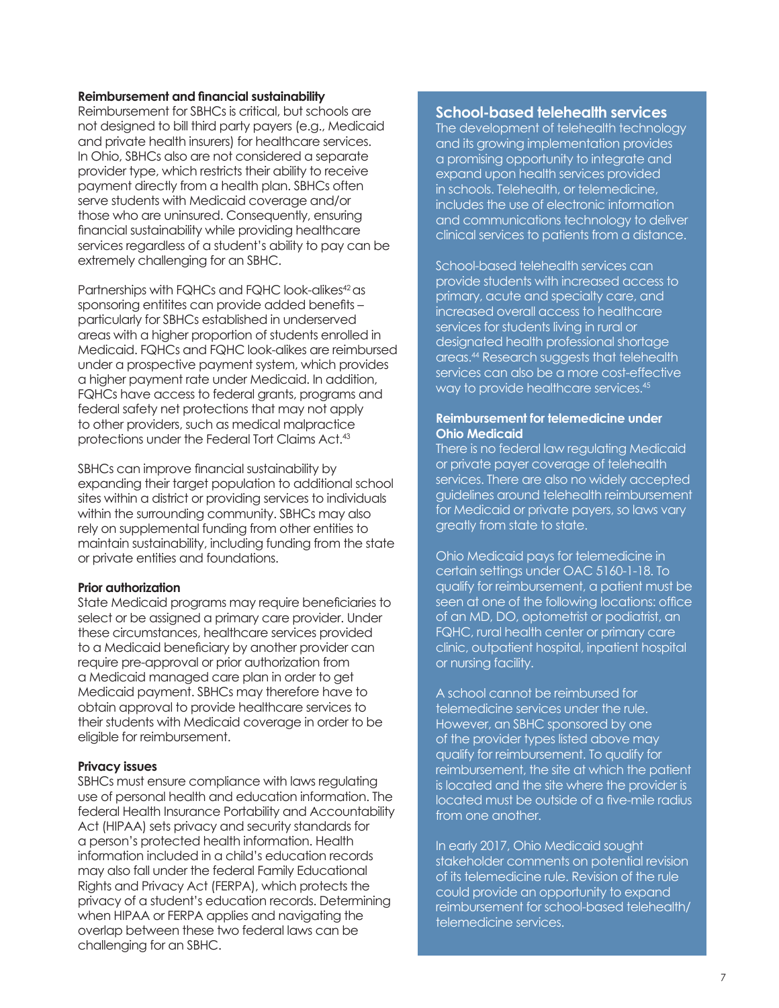#### **Reimbursement and financial sustainability**

Reimbursement for SBHCs is critical, but schools are not designed to bill third party payers (e.g., Medicaid and private health insurers) for healthcare services. In Ohio, SBHCs also are not considered a separate provider type, which restricts their ability to receive payment directly from a health plan. SBHCs often serve students with Medicaid coverage and/or those who are uninsured. Consequently, ensuring financial sustainability while providing healthcare services regardless of a student's ability to pay can be extremely challenging for an SBHC.

Partnerships with FQHCs and FQHC look-alikes<sup>42</sup> as sponsoring entitites can provide added benefits – particularly for SBHCs established in underserved areas with a higher proportion of students enrolled in Medicaid. FQHCs and FQHC look-alikes are reimbursed under a prospective payment system, which provides a higher payment rate under Medicaid. In addition, FQHCs have access to federal grants, programs and federal safety net protections that may not apply to other providers, such as medical malpractice protections under the Federal Tort Claims Act.43

SBHCs can improve financial sustainability by expanding their target population to additional school sites within a district or providing services to individuals within the surrounding community. SBHCs may also rely on supplemental funding from other entities to maintain sustainability, including funding from the state or private entities and foundations.

#### **Prior authorization**

State Medicaid programs may require beneficiaries to select or be assigned a primary care provider. Under these circumstances, healthcare services provided to a Medicaid beneficiary by another provider can require pre-approval or prior authorization from a Medicaid managed care plan in order to get Medicaid payment. SBHCs may therefore have to obtain approval to provide healthcare services to their students with Medicaid coverage in order to be eligible for reimbursement.

#### **Privacy issues**

SBHCs must ensure compliance with laws regulating use of personal health and education information. The federal Health Insurance Portability and Accountability Act (HIPAA) sets privacy and security standards for a person's protected health information. Health information included in a child's education records may also fall under the federal Family Educational Rights and Privacy Act (FERPA), which protects the privacy of a student's education records. Determining when HIPAA or FERPA applies and navigating the overlap between these two federal laws can be challenging for an SBHC.

## **School-based telehealth services**

The development of telehealth technology and its growing implementation provides a promising opportunity to integrate and expand upon health services provided in schools. Telehealth, or telemedicine, includes the use of electronic information and communications technology to deliver clinical services to patients from a distance.

School-based telehealth services can provide students with increased access to primary, acute and specialty care, and increased overall access to healthcare services for students living in rural or designated health professional shortage areas.44 Research suggests that telehealth services can also be a more cost-effective way to provide healthcare services.<sup>45</sup>

#### **Reimbursement for telemedicine under Ohio Medicaid**

There is no federal law regulating Medicaid or private payer coverage of telehealth services. There are also no widely accepted guidelines around telehealth reimbursement for Medicaid or private payers, so laws vary greatly from state to state.

Ohio Medicaid pays for telemedicine in certain settings under OAC 5160-1-18. To qualify for reimbursement, a patient must be seen at one of the following locations: office of an MD, DO, optometrist or podiatrist, an FQHC, rural health center or primary care clinic, outpatient hospital, inpatient hospital or nursing facility.

A school cannot be reimbursed for telemedicine services under the rule. However, an SBHC sponsored by one of the provider types listed above may qualify for reimbursement. To qualify for reimbursement, the site at which the patient is located and the site where the provider is located must be outside of a five-mile radius from one another.

In early 2017, Ohio Medicaid sought stakeholder comments on potential revision of its telemedicine rule. Revision of the rule could provide an opportunity to expand reimbursement for school-based telehealth/ telemedicine services.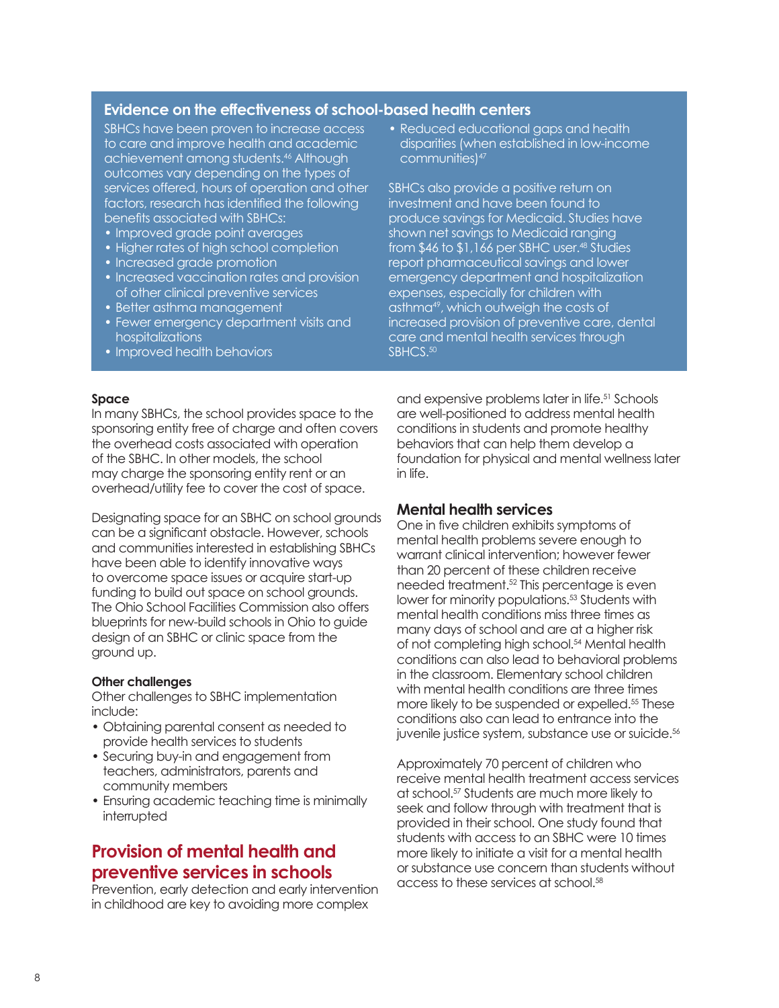## **Evidence on the effectiveness of school-based health centers**

SBHCs have been proven to increase access to care and improve health and academic achievement among students.46 Although outcomes vary depending on the types of services offered, hours of operation and other factors, research has identified the following benefits associated with SBHCs:

- Improved grade point averages
- Higher rates of high school completion
- Increased grade promotion
- Increased vaccination rates and provision of other clinical preventive services
- Better asthma management
- Fewer emergency department visits and hospitalizations
- Improved health behaviors

• Reduced educational gaps and health disparities (when established in low-income communities)<sup>47</sup>

SBHCs also provide a positive return on investment and have been found to produce savings for Medicaid. Studies have shown net savings to Medicaid ranging from \$46 to \$1,166 per SBHC user.48 Studies report pharmaceutical savings and lower emergency department and hospitalization expenses, especially for children with asthma<sup>49</sup>, which outweigh the costs of increased provision of preventive care, dental care and mental health services through SBHCS.<sup>50</sup>

#### **Space**

In many SBHCs, the school provides space to the sponsoring entity free of charge and often covers the overhead costs associated with operation of the SBHC. In other models, the school may charge the sponsoring entity rent or an overhead/utility fee to cover the cost of space.

Designating space for an SBHC on school grounds can be a significant obstacle. However, schools and communities interested in establishing SBHCs have been able to identify innovative ways to overcome space issues or acquire start-up funding to build out space on school grounds. The Ohio School Facilities Commission also offers blueprints for new-build schools in Ohio to guide design of an SBHC or clinic space from the ground up.

#### **Other challenges**

Other challenges to SBHC implementation include:

- Obtaining parental consent as needed to provide health services to students
- Securing buy-in and engagement from teachers, administrators, parents and community members
- Ensuring academic teaching time is minimally interrupted

## **Provision of mental health and preventive services in schools**

Prevention, early detection and early intervention in childhood are key to avoiding more complex

and expensive problems later in life.<sup>51</sup> Schools are well-positioned to address mental health conditions in students and promote healthy behaviors that can help them develop a foundation for physical and mental wellness later in life.

## **Mental health services**

One in five children exhibits symptoms of mental health problems severe enough to warrant clinical intervention; however fewer than 20 percent of these children receive needed treatment.52 This percentage is even lower for minority populations.53 Students with mental health conditions miss three times as many days of school and are at a higher risk of not completing high school.<sup>54</sup> Mental health conditions can also lead to behavioral problems in the classroom. Elementary school children with mental health conditions are three times more likely to be suspended or expelled.<sup>55</sup> These conditions also can lead to entrance into the juvenile justice system, substance use or suicide.<sup>56</sup>

Approximately 70 percent of children who receive mental health treatment access services at school.57 Students are much more likely to seek and follow through with treatment that is provided in their school. One study found that students with access to an SBHC were 10 times more likely to initiate a visit for a mental health or substance use concern than students without access to these services at school.<sup>58</sup>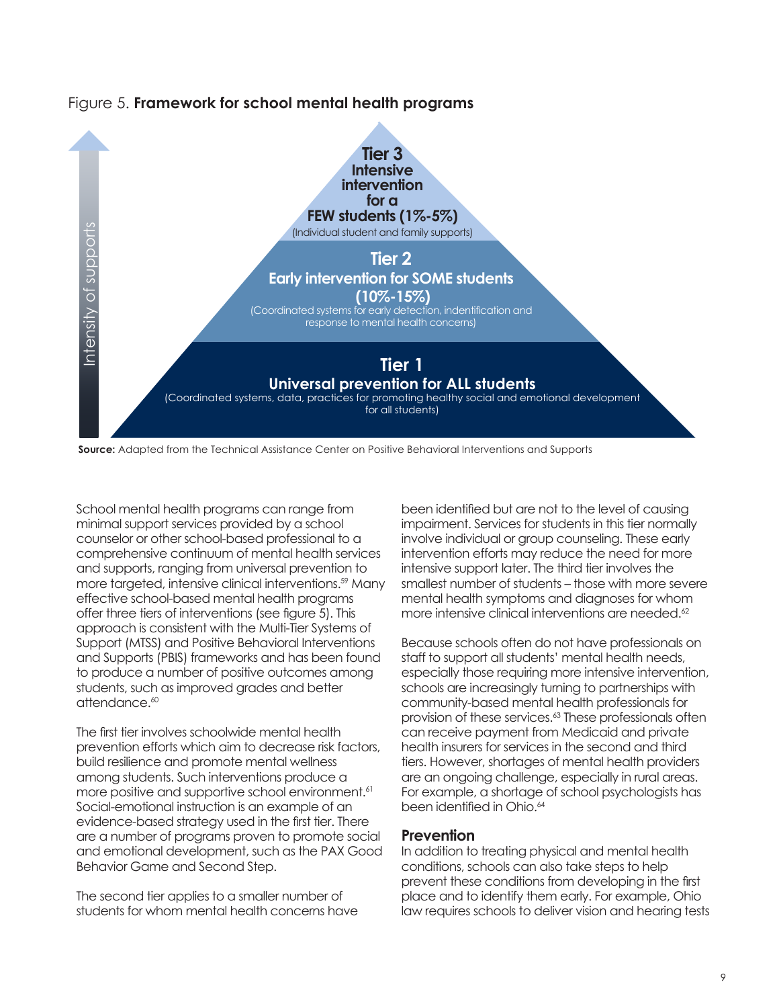

Figure 5. **Framework for school mental health programs** 

School mental health programs can range from minimal support services provided by a school counselor or other school-based professional to a comprehensive continuum of mental health services and supports, ranging from universal prevention to more targeted, intensive clinical interventions.<sup>59</sup> Many effective school-based mental health programs offer three tiers of interventions (see figure 5). This approach is consistent with the Multi-Tier Systems of Support (MTSS) and Positive Behavioral Interventions and Supports (PBIS) frameworks and has been found to produce a number of positive outcomes among students, such as improved grades and better attendance.<sup>60</sup>

The first tier involves schoolwide mental health prevention efforts which aim to decrease risk factors, build resilience and promote mental wellness among students. Such interventions produce a more positive and supportive school environment.<sup>61</sup> Social-emotional instruction is an example of an evidence-based strategy used in the first tier. There are a number of programs proven to promote social and emotional development, such as the PAX Good Behavior Game and Second Step.

The second tier applies to a smaller number of students for whom mental health concerns have

been identified but are not to the level of causing impairment. Services for students in this tier normally involve individual or group counseling. These early intervention efforts may reduce the need for more intensive support later. The third tier involves the smallest number of students – those with more severe mental health symptoms and diagnoses for whom more intensive clinical interventions are needed.<sup>62</sup>

Because schools often do not have professionals on staff to support all students' mental health needs, especially those requiring more intensive intervention, schools are increasingly turning to partnerships with community-based mental health professionals for provision of these services.<sup>63</sup> These professionals often can receive payment from Medicaid and private health insurers for services in the second and third tiers. However, shortages of mental health providers are an ongoing challenge, especially in rural areas. For example, a shortage of school psychologists has been identified in Ohio.<sup>64</sup>

## **Prevention**

In addition to treating physical and mental health conditions, schools can also take steps to help prevent these conditions from developing in the first place and to identify them early. For example, Ohio law requires schools to deliver vision and hearing tests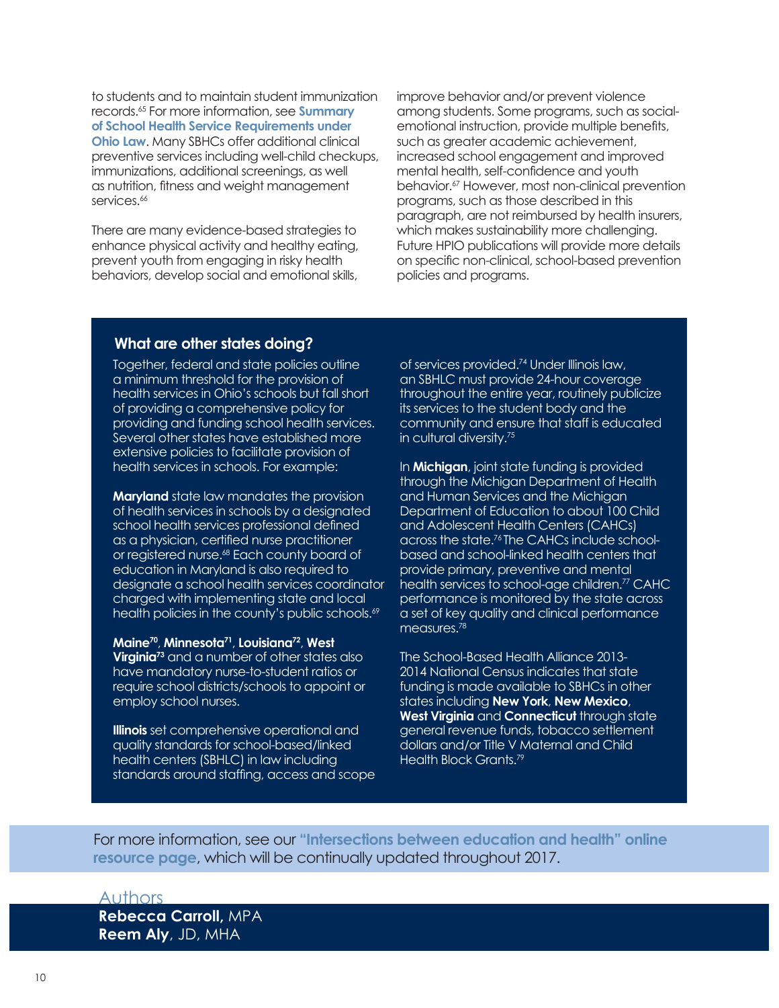to students and to maintain student immunization records.65 For more information, see **[Summary](http://www.healthpolicyohio.org/connections-between-education-and-health-no-2-health-services-in-schools/)  [of School Health Service Requirements under](http://www.healthpolicyohio.org/connections-between-education-and-health-no-2-health-services-in-schools/)  [Ohio Law](http://www.healthpolicyohio.org/connections-between-education-and-health-no-2-health-services-in-schools/).** Many SBHCs offer additional clinical preventive services including well-child checkups, immunizations, additional screenings, as well as nutrition, fitness and weight management services.<sup>66</sup>

There are many evidence-based strategies to enhance physical activity and healthy eating, prevent youth from engaging in risky health behaviors, develop social and emotional skills,

improve behavior and/or prevent violence among students. Some programs, such as socialemotional instruction, provide multiple benefits, such as greater academic achievement, increased school engagement and improved mental health, self-confidence and youth behavior.<sup>67</sup> However, most non-clinical prevention programs, such as those described in this paragraph, are not reimbursed by health insurers, which makes sustainability more challenging. Future HPIO publications will provide more details on specific non-clinical, school-based prevention policies and programs.

## **What are other states doing?**

Together, federal and state policies outline a minimum threshold for the provision of health services in Ohio's schools but fall short of providing a comprehensive policy for providing and funding school health services. Several other states have established more extensive policies to facilitate provision of health services in schools. For example:

**Maryland** state law mandates the provision of health services in schools by a designated school health services professional defined as a physician, certified nurse practitioner or registered nurse.<sup>68</sup> Each county board of education in Maryland is also required to designate a school health services coordinator charged with implementing state and local health policies in the county's public schools.<sup>69</sup>

**Maine70**, **Minnesota71**, **Louisiana72**, **West Virginia<sup>73</sup>** and a number of other states also have mandatory nurse-to-student ratios or require school districts/schools to appoint or employ school nurses.

**Illinois** set comprehensive operational and quality standards for school-based/linked health centers (SBHLC) in law including standards around staffing, access and scope of services provided.74 Under Illinois law, an SBHLC must provide 24-hour coverage throughout the entire year, routinely publicize its services to the student body and the community and ensure that staff is educated in cultural diversity.75

In **Michigan**, joint state funding is provided through the Michigan Department of Health and Human Services and the Michigan Department of Education to about 100 Child and Adolescent Health Centers (CAHCs) across the state.76 The CAHCs include schoolbased and school-linked health centers that provide primary, preventive and mental health services to school-age children.<sup>77</sup> CAHC performance is monitored by the state across a set of key quality and clinical performance measures.<sup>78</sup>

The School-Based Health Alliance 2013- 2014 National Census indicates that state funding is made available to SBHCs in other states including **New York**, **New Mexico**, **West Virginia** and **Connecticut** through state general revenue funds, tobacco settlement dollars and/or Title V Maternal and Child Health Block Grants.<sup>79</sup>

For more information, see our **["Intersections between education and health" online](http://www.healthpolicyohio.org/intersections-between-education-and-health/)  [resource page](http://www.healthpolicyohio.org/intersections-between-education-and-health/)**, which will be continually updated throughout 2017.

## Authors

**Rebecca Carroll,** MPA **Reem Aly**, JD, MHA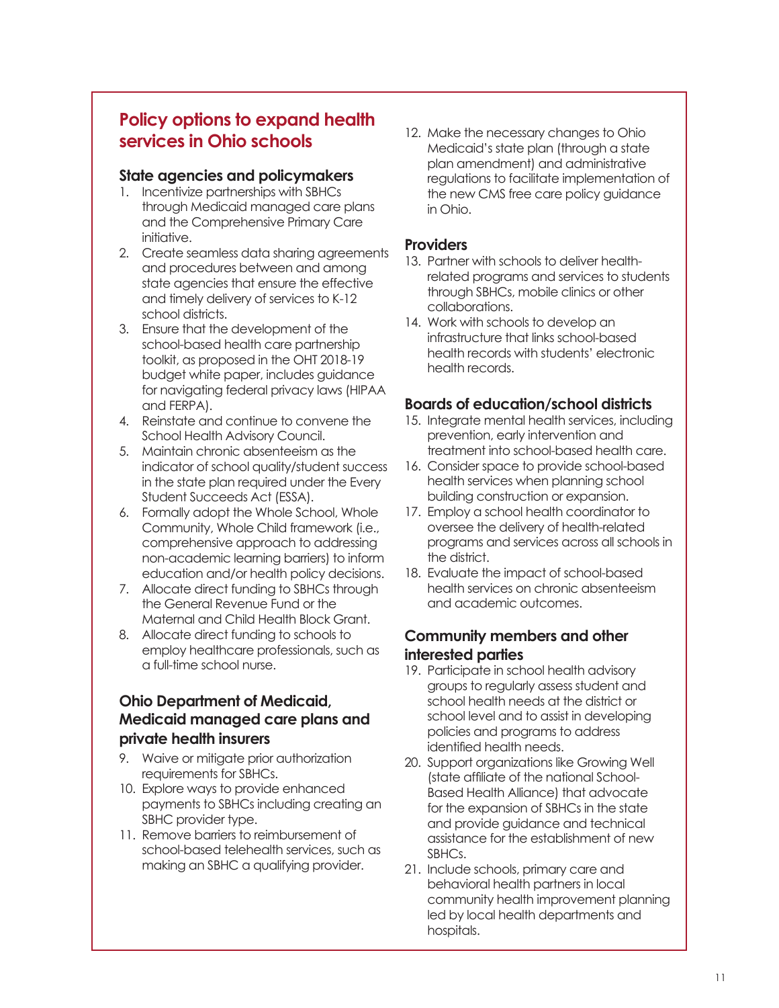## **Policy options to expand health services in Ohio schools**

## **State agencies and policymakers**

- 1. Incentivize partnerships with SBHCs through Medicaid managed care plans and the Comprehensive Primary Care initiative.
- 2. Create seamless data sharing agreements and procedures between and among state agencies that ensure the effective and timely delivery of services to K-12 school districts.
- 3. Ensure that the development of the school-based health care partnership toolkit, as proposed in the OHT 2018-19 budget white paper, includes guidance for navigating federal privacy laws (HIPAA and FERPA).
- 4. Reinstate and continue to convene the School Health Advisory Council.
- 5. Maintain chronic absenteeism as the indicator of school quality/student success in the state plan required under the Every Student Succeeds Act (ESSA).
- 6. Formally adopt the Whole School, Whole Community, Whole Child framework (i.e., comprehensive approach to addressing non-academic learning barriers) to inform education and/or health policy decisions.
- 7. Allocate direct funding to SBHCs through the General Revenue Fund or the Maternal and Child Health Block Grant.
- 8. Allocate direct funding to schools to employ healthcare professionals, such as a full-time school nurse.

## **Ohio Department of Medicaid, Medicaid managed care plans and private health insurers**

- 9. Waive or mitigate prior authorization requirements for SBHCs.
- 10. Explore ways to provide enhanced payments to SBHCs including creating an SBHC provider type.
- 11. Remove barriers to reimbursement of school-based telehealth services, such as making an SBHC a qualifying provider.

12. Make the necessary changes to Ohio Medicaid's state plan (through a state plan amendment) and administrative regulations to facilitate implementation of the new CMS free care policy guidance in Ohio.

## **Providers**

- 13. Partner with schools to deliver healthrelated programs and services to students through SBHCs, mobile clinics or other collaborations.
- 14. Work with schools to develop an infrastructure that links school-based health records with students' electronic health records.

## **Boards of education/school districts**

- 15. Integrate mental health services, including prevention, early intervention and treatment into school-based health care.
- 16. Consider space to provide school-based health services when planning school building construction or expansion.
- 17. Employ a school health coordinator to oversee the delivery of health-related programs and services across all schools in the district.
- 18. Evaluate the impact of school-based health services on chronic absenteeism and academic outcomes.

## **Community members and other interested parties**

- 19. Participate in school health advisory groups to regularly assess student and school health needs at the district or school level and to assist in developing policies and programs to address identified health needs.
- 20. Support organizations like Growing Well (state affiliate of the national School-Based Health Alliance) that advocate for the expansion of SBHCs in the state and provide guidance and technical assistance for the establishment of new SBHCs.
- 21. Include schools, primary care and behavioral health partners in local community health improvement planning led by local health departments and hospitals.